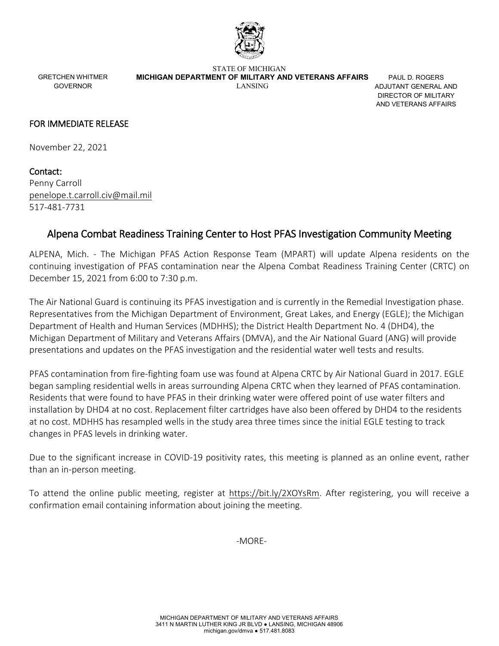

GRETCHEN WHITMER GOVERNOR

STATE OF MICHIGAN  **MICHIGAN DEPARTMENT OF MILITARY AND VETERANS AFFAIRS** LANSING

PAUL D. ROGERS ADJUTANT GENERAL AND DIRECTOR OF MILITARY AND VETERANS AFFAIRS

## FOR IMMEDIATE RELEASE

November 22, 2021

Contact: Penny Carroll [penelope.t.carroll.civ@mail.mil](mailto:penelope.t.carroll.civ@mail.mil) 517-481-7731

## Alpena Combat Readiness Training Center to Host PFAS Investigation Community Meeting

ALPENA, Mich. - The Michigan PFAS Action Response Team (MPART) will update Alpena residents on the continuing investigation of PFAS contamination near the Alpena Combat Readiness Training Center (CRTC) on December 15, 2021 from 6:00 to 7:30 p.m.

The Air National Guard is continuing its PFAS investigation and is currently in the Remedial Investigation phase. Representatives from the Michigan Department of Environment, Great Lakes, and Energy (EGLE); the Michigan Department of Health and Human Services (MDHHS); the District Health Department No. 4 (DHD4), the Michigan Department of Military and Veterans Affairs (DMVA), and the Air National Guard (ANG) will provide presentations and updates on the PFAS investigation and the residential water well tests and results.

PFAS contamination from fire-fighting foam use was found at Alpena CRTC by Air National Guard in 2017. EGLE began sampling residential wells in areas surrounding Alpena CRTC when they learned of PFAS contamination. Residents that were found to have PFAS in their drinking water were offered point of use water filters and installation by DHD4 at no cost. Replacement filter cartridges have also been offered by DHD4 to the residents at no cost. MDHHS has resampled wells in the study area three times since the initial EGLE testing to track changes in PFAS levels in drinking water.

Due to the significant increase in COVID-19 positivity rates, this meeting is planned as an online event, rather than an in-person meeting.

To attend the online public meeting, register at [https://bit.ly/2XOYsRm.](https://bit.ly/2XOYsRm) After registering, you will receive a confirmation email containing information about joining the meeting.

-MORE-